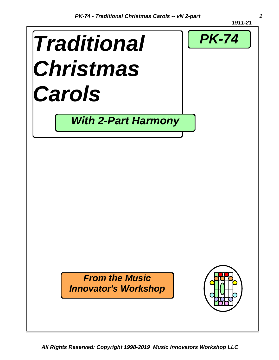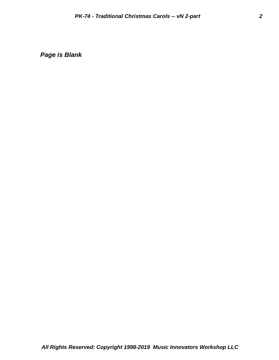*Page is Blank*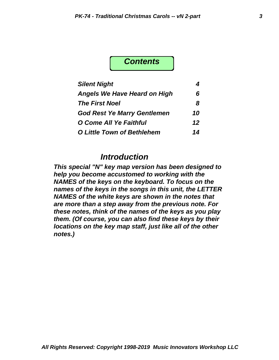*Contents*

| <b>Silent Night</b>                                                                                                   |                    |                                   |    |
|-----------------------------------------------------------------------------------------------------------------------|--------------------|-----------------------------------|----|
| Angels We Have Heard on High<br><b>The First Noel</b><br><b>God Rest Ye Marry Gentlemen</b><br>O Come All Ye Faithful | 6<br>8<br>10<br>12 |                                   |    |
|                                                                                                                       |                    | <b>O Little Town of Bethlehem</b> | 14 |

#### *Introduction*

*notes.) locations on the key map staff, just like all of the other them. (Of course, you can also find these keys by their these notes, think of the names of the keys as you play are more than a step away from the previous note. For NAMES of the white keys are shown in the notes that names of the keys in the songs in this unit, the LETTER NAMES of the keys on the keyboard. To focus on the help you become accustomed to working with the This special "N" key map version has been designed to*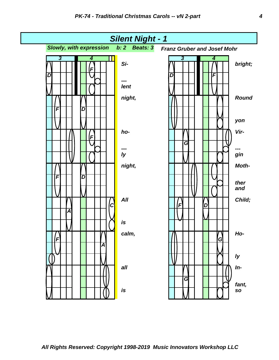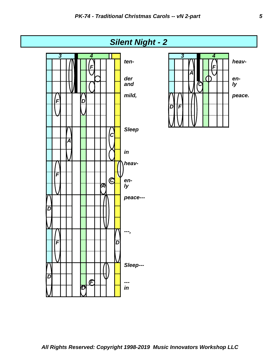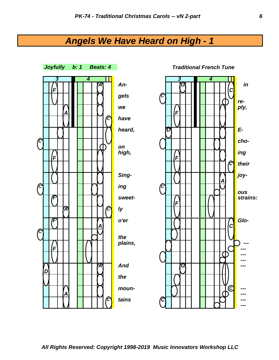# **Angels We Have Heard on High - 1**





All Rights Reserved: Copyright 1998-2019 Music Innovators Workshop LLC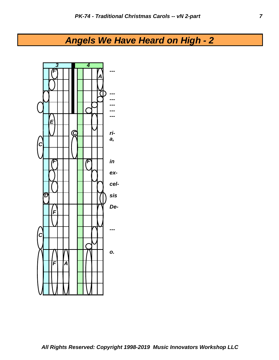**Angels We Have Heard on High - 2** 

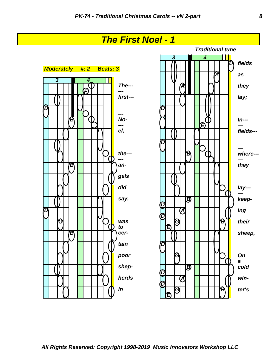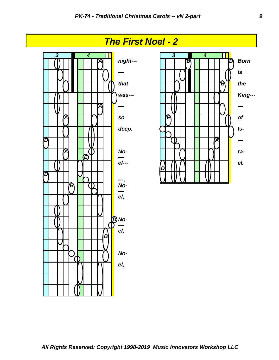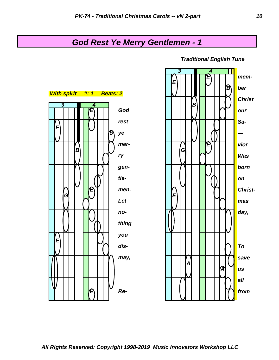*God Rest Ye Merry Gentlemen - 1*





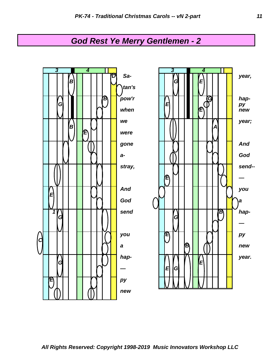### *God Rest Ye Merry Gentlemen - 2*





*All Rights Reserved: Copyright 1998-2019 Music Innovators Workshop LLC*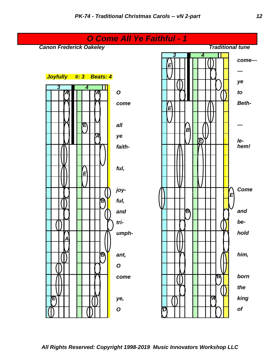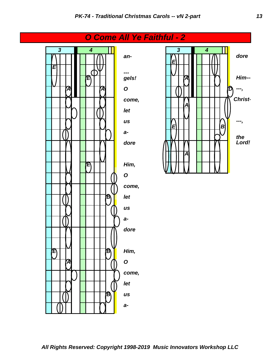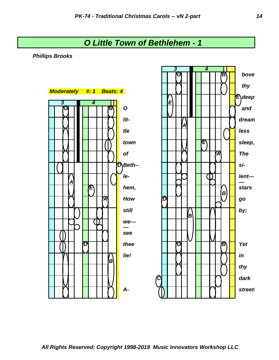# O Little Town of Bethlehem - 1

**Phillips Brooks** 



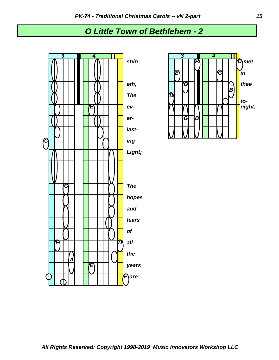# *O Little Town of Bethlehem - 2*